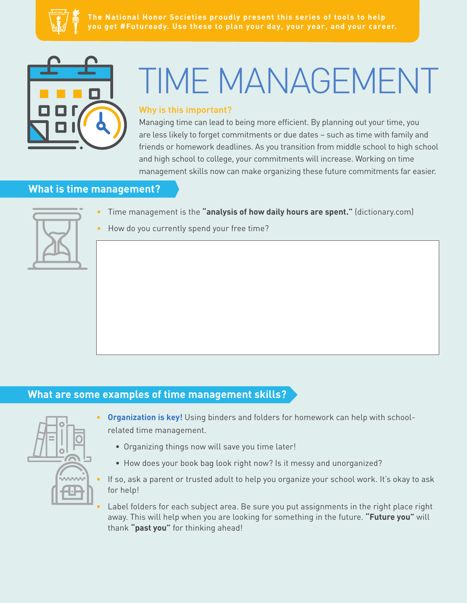



# TIME MANAGEMENT

#### **Why is this important?**

Managing time can lead to being more efficient. By planning out your time, you are less likely to forget commitments or due dates – such as time with family and friends or homework deadlines. As you transition from middle school to high school and high school to college, your commitments will increase. Working on time management skills now can make organizing these future commitments far easier.

## **What is time management?**



- Time management is the **"analysis of how daily hours are spent."** (dictionary.com)
- How do you currently spend your free time?

# **What are some examples of time management skills?**



- **Organization is key!** Using binders and folders for homework can help with schoolrelated time management.
	- Organizing things now will save you time later!
	- How does your book bag look right now? Is it messy and unorganized?
- If so, ask a parent or trusted adult to help you organize your school work. It's okay to ask for help!
- Label folders for each subject area. Be sure you put assignments in the right place right away. This will help when you are looking for something in the future. **"Future you"** will thank **"past you"** for thinking ahead!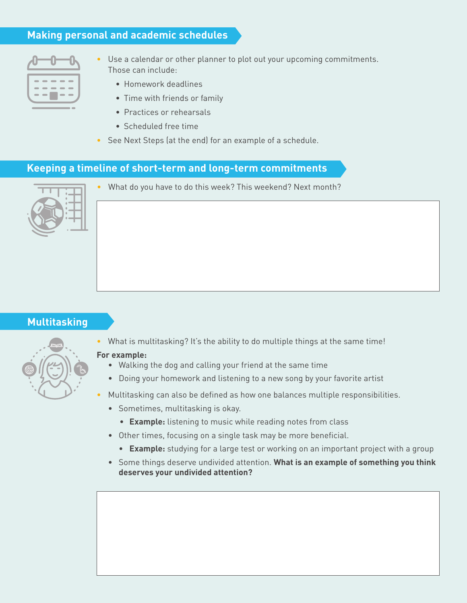# **Making personal and academic schedules**



- Use a calendar or other planner to plot out your upcoming commitments. Those can include:
	- Homework deadlines
	- Time with friends or family
	- Practices or rehearsals
	- Scheduled free time
- See Next Steps (at the end) for an example of a schedule.

# **Keeping a timeline of short-term and long-term commitments**



• What do you have to do this week? This weekend? Next month?

#### **Multitasking**



#### **For example:**

- Walking the dog and calling your friend at the same time
- Doing your homework and listening to a new song by your favorite artist
- Multitasking can also be defined as how one balances multiple responsibilities.
	- Sometimes, multitasking is okay.
		- **Example:** listening to music while reading notes from class
	- Other times, focusing on a single task may be more beneficial.
		- **Example:** studying for a large test or working on an important project with a group
	- Some things deserve undivided attention. **What is an example of something you think deserves your undivided attention?**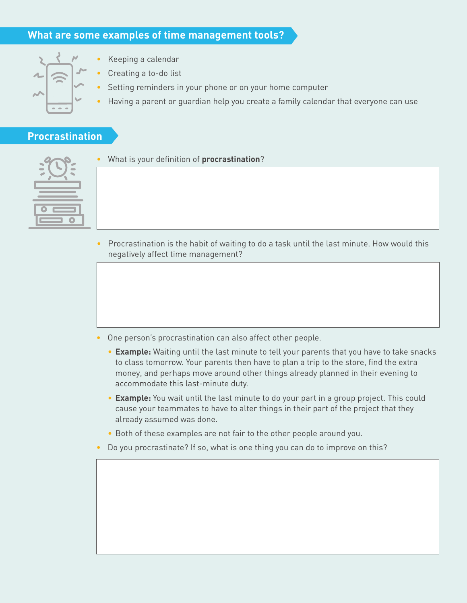#### **What are some examples of time management tools?**

- 
- Keeping a calendar
- Creating a to-do list
- Setting reminders in your phone or on your home computer
- Having a parent or guardian help you create a family calendar that everyone can use

#### **Procrastination**

• What is your definition of **procrastination**?

• Procrastination is the habit of waiting to do a task until the last minute. How would this negatively affect time management?

- One person's procrastination can also affect other people.
	- **Example:** Waiting until the last minute to tell your parents that you have to take snacks to class tomorrow. Your parents then have to plan a trip to the store, find the extra money, and perhaps move around other things already planned in their evening to accommodate this last-minute duty.
	- **Example:** You wait until the last minute to do your part in a group project. This could cause your teammates to have to alter things in their part of the project that they already assumed was done.
	- Both of these examples are not fair to the other people around you.
- Do you procrastinate? If so, what is one thing you can do to improve on this?